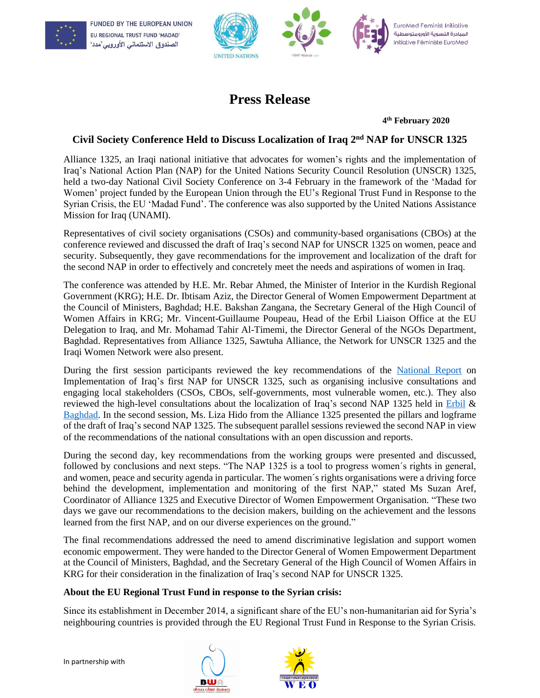





EuroMed Feminist Initiative المبادرة النسوية الأورومتوسطية Initiative Féministe EuroMed

## **Press Release**

**4 th February 2020**

## **Civil Society Conference Held to Discuss Localization of Iraq 2 nd NAP for UNSCR 1325**

Alliance 1325, an Iraqi national initiative that advocates for women's rights and the implementation of Iraq's National Action Plan (NAP) for the United Nations Security Council Resolution (UNSCR) 1325, held a two-day National Civil Society Conference on 3-4 February in the framework of the 'Madad for Women' project funded by the European Union through the EU's Regional Trust Fund in Response to the Syrian Crisis, the EU 'Madad Fund'. The conference was also supported by the United Nations Assistance Mission for Iraq (UNAMI).

Representatives of civil society organisations (CSOs) and community-based organisations (CBOs) at the conference reviewed and discussed the draft of Iraq's second NAP for UNSCR 1325 on women, peace and security. Subsequently, they gave recommendations for the improvement and localization of the draft for the second NAP in order to effectively and concretely meet the needs and aspirations of women in Iraq.

The conference was attended by H.E. Mr. Rebar Ahmed, the Minister of Interior in the Kurdish Regional Government (KRG); H.E. Dr. Ibtisam Aziz, the Director General of Women Empowerment Department at the Council of Ministers, Baghdad; H.E. Bakshan Zangana, the Secretary General of the High Council of Women Affairs in KRG; Mr. Vincent-Guillaume Poupeau, Head of the Erbil Liaison Office at the EU Delegation to Iraq, and Mr. Mohamad Tahir Al-Timemi, the Director General of the NGOs Department, Baghdad. Representatives from Alliance 1325, Sawtuha Alliance, the Network for UNSCR 1325 and the Iraqi Women Network were also present.

During the first session participants reviewed the key recommendations of the [National Report](http://www.efi-ife.org/sites/default/files/Report%20-%20Implementation%20Iraq%20NAP%201325%20English.pdf) on Implementation of Iraq's first NAP for UNSCR 1325, such as organising inclusive consultations and engaging local stakeholders (CSOs, CBOs, self-governments, most vulnerable women, etc.). They also reviewed the high-level consultations about the localization of Iraq's second NAP 1325 held in [Erbil](http://www.efi-ife.org/high-level-consultation-meeting-developing-2nd-nap-1325-erbil-october-2018) & [Baghdad.](http://www.efi-ife.org/high-level-consultation-meeting-development-2nd-national-action-plan-baghdad-october-2018) In the second session, Ms. Liza Hido from the Alliance 1325 presented the pillars and logframe of the draft of Iraq's second NAP 1325. The subsequent parallel sessions reviewed the second NAP in view of the recommendations of the national consultations with an open discussion and reports.

During the second day, key recommendations from the working groups were presented and discussed, followed by conclusions and next steps. "The NAP 1325 is a tool to progress women´s rights in general, and women, peace and security agenda in particular. The women´s rights organisations were a driving force behind the development, implementation and monitoring of the first NAP," stated Ms Suzan Aref, Coordinator of Alliance 1325 and Executive Director of Women Empowerment Organisation. "These two days we gave our recommendations to the decision makers, building on the achievement and the lessons learned from the first NAP, and on our diverse experiences on the ground."

The final recommendations addressed the need to amend discriminative legislation and support women economic empowerment. They were handed to the Director General of Women Empowerment Department at the Council of Ministers, Baghdad, and the Secretary General of the High Council of Women Affairs in KRG for their consideration in the finalization of Iraq's second NAP for UNSCR 1325.

## **About the EU Regional Trust Fund in response to the Syrian crisis:**

Since its establishment in December 2014, a significant share of the EU's non-humanitarian aid for Syria's neighbouring countries is provided through the EU Regional Trust Fund in Response to the Syrian Crisis.